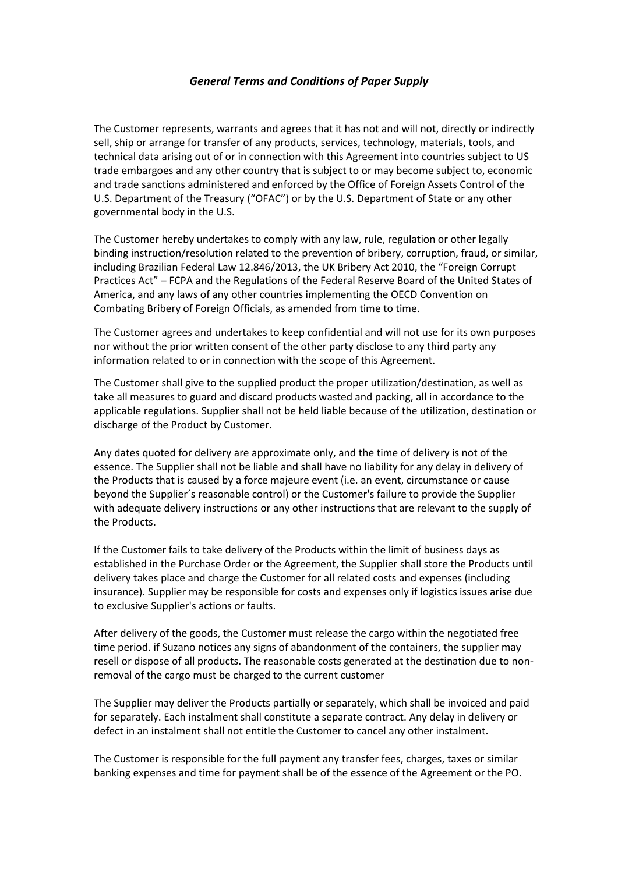## *General Terms and Conditions of Paper Supply*

The Customer represents, warrants and agrees that it has not and will not, directly or indirectly sell, ship or arrange for transfer of any products, services, technology, materials, tools, and technical data arising out of or in connection with this Agreement into countries subject to US trade embargoes and any other country that is subject to or may become subject to, economic and trade sanctions administered and enforced by the Office of Foreign Assets Control of the U.S. Department of the Treasury ("OFAC") or by the U.S. Department of State or any other governmental body in the U.S.

The Customer hereby undertakes to comply with any law, rule, regulation or other legally binding instruction/resolution related to the prevention of bribery, corruption, fraud, or similar, including Brazilian Federal Law 12.846/2013, the UK Bribery Act 2010, the "Foreign Corrupt Practices Act" – FCPA and the Regulations of the Federal Reserve Board of the United States of America, and any laws of any other countries implementing the OECD Convention on Combating Bribery of Foreign Officials, as amended from time to time.

The Customer agrees and undertakes to keep confidential and will not use for its own purposes nor without the prior written consent of the other party disclose to any third party any information related to or in connection with the scope of this Agreement.

The Customer shall give to the supplied product the proper utilization/destination, as well as take all measures to guard and discard products wasted and packing, all in accordance to the applicable regulations. Supplier shall not be held liable because of the utilization, destination or discharge of the Product by Customer.

Any dates quoted for delivery are approximate only, and the time of delivery is not of the essence. The Supplier shall not be liable and shall have no liability for any delay in delivery of the Products that is caused by a force majeure event (i.e. an event, circumstance or cause beyond the Supplier´s reasonable control) or the Customer's failure to provide the Supplier with adequate delivery instructions or any other instructions that are relevant to the supply of the Products.

If the Customer fails to take delivery of the Products within the limit of business days as established in the Purchase Order or the Agreement, the Supplier shall store the Products until delivery takes place and charge the Customer for all related costs and expenses (including insurance). Supplier may be responsible for costs and expenses only if logistics issues arise due to exclusive Supplier's actions or faults.

After delivery of the goods, the Customer must release the cargo within the negotiated free time period. if Suzano notices any signs of abandonment of the containers, the supplier may resell or dispose of all products. The reasonable costs generated at the destination due to nonremoval of the cargo must be charged to the current customer

The Supplier may deliver the Products partially or separately, which shall be invoiced and paid for separately. Each instalment shall constitute a separate contract. Any delay in delivery or defect in an instalment shall not entitle the Customer to cancel any other instalment.

The Customer is responsible for the full payment any transfer fees, charges, taxes or similar banking expenses and time for payment shall be of the essence of the Agreement or the PO.